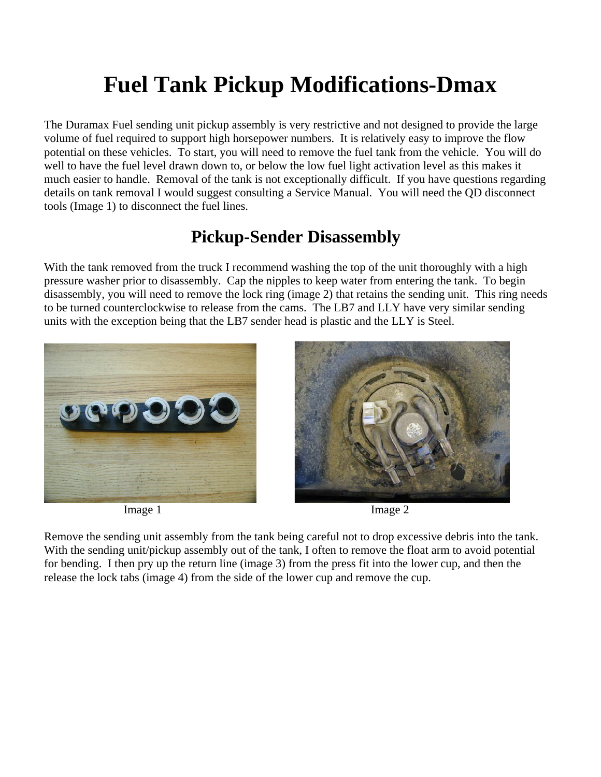## **Fuel Tank Pickup Modifications-Dmax**

The Duramax Fuel sending unit pickup assembly is very restrictive and not designed to provide the large volume of fuel required to support high horsepower numbers. It is relatively easy to improve the flow potential on these vehicles. To start, you will need to remove the fuel tank from the vehicle. You will do well to have the fuel level drawn down to, or below the low fuel light activation level as this makes it much easier to handle. Removal of the tank is not exceptionally difficult. If you have questions regarding details on tank removal I would suggest consulting a Service Manual. You will need the QD disconnect tools (Image 1) to disconnect the fuel lines.

## **Pickup-Sender Disassembly**

With the tank removed from the truck I recommend washing the top of the unit thoroughly with a high pressure washer prior to disassembly. Cap the nipples to keep water from entering the tank. To begin disassembly, you will need to remove the lock ring (image 2) that retains the sending unit. This ring needs to be turned counterclockwise to release from the cams. The LB7 and LLY have very similar sending units with the exception being that the LB7 sender head is plastic and the LLY is Steel.





Remove the sending unit assembly from the tank being careful not to drop excessive debris into the tank. With the sending unit/pickup assembly out of the tank, I often to remove the float arm to avoid potential for bending. I then pry up the return line (image 3) from the press fit into the lower cup, and then the release the lock tabs (image 4) from the side of the lower cup and remove the cup.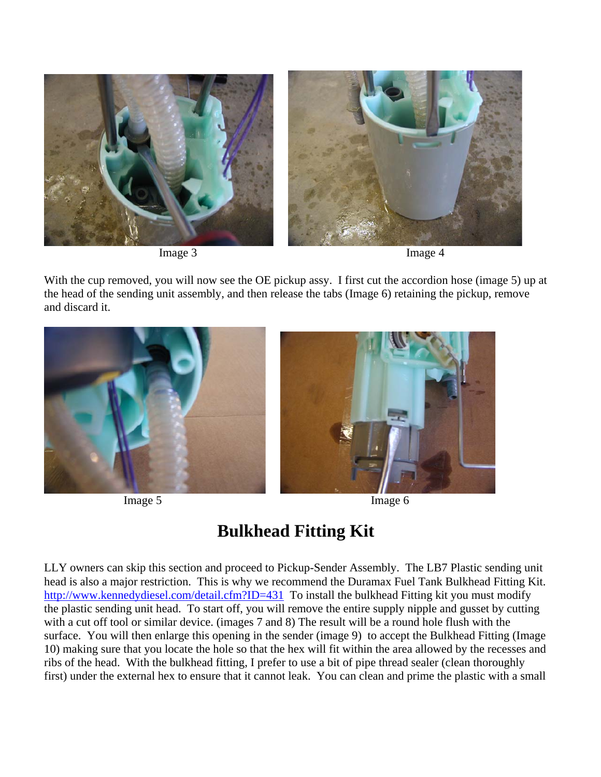

With the cup removed, you will now see the OE pickup assy. I first cut the accordion hose (image 5) up at the head of the sending unit assembly, and then release the tabs (Image 6) retaining the pickup, remove and discard it.



## **Bulkhead Fitting Kit**

LLY owners can skip this section and proceed to Pickup-Sender Assembly. The LB7 Plastic sending unit head is also a major restriction. This is why we recommend the Duramax Fuel Tank Bulkhead Fitting Kit. http://www.kennedydiesel.com/detail.cfm?ID=431 To install the bulkhead Fitting kit you must modify the plastic sending unit head. To start off, you will remove the entire supply nipple and gusset by cutting with a cut off tool or similar device. (images 7 and 8) The result will be a round hole flush with the surface. You will then enlarge this opening in the sender (image 9) to accept the Bulkhead Fitting (Image 10) making sure that you locate the hole so that the hex will fit within the area allowed by the recesses and ribs of the head. With the bulkhead fitting, I prefer to use a bit of pipe thread sealer (clean thoroughly first) under the external hex to ensure that it cannot leak. You can clean and prime the plastic with a small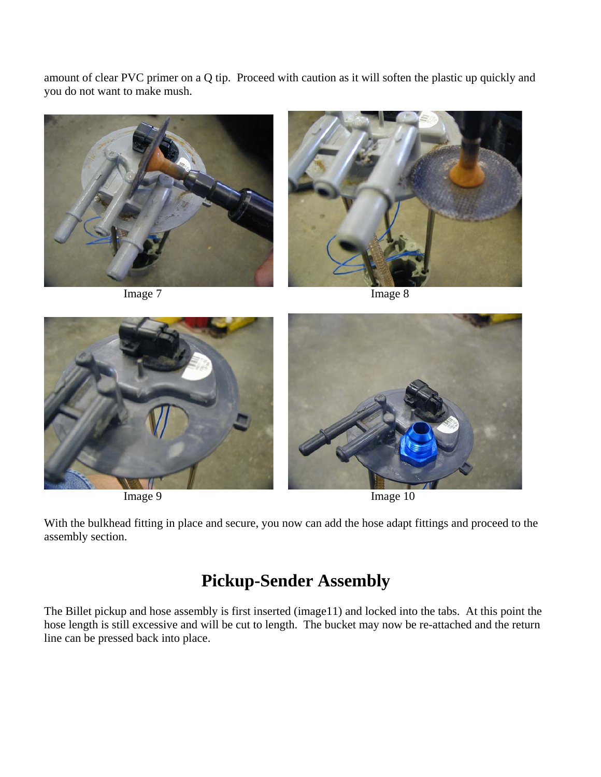amount of clear PVC primer on a Q tip. Proceed with caution as it will soften the plastic up quickly and you do not want to make mush.







With the bulkhead fitting in place and secure, you now can add the hose adapt fittings and proceed to the assembly section.

## **Pickup-Sender Assembly**

The Billet pickup and hose assembly is first inserted (image11) and locked into the tabs. At this point the hose length is still excessive and will be cut to length. The bucket may now be re-attached and the return line can be pressed back into place.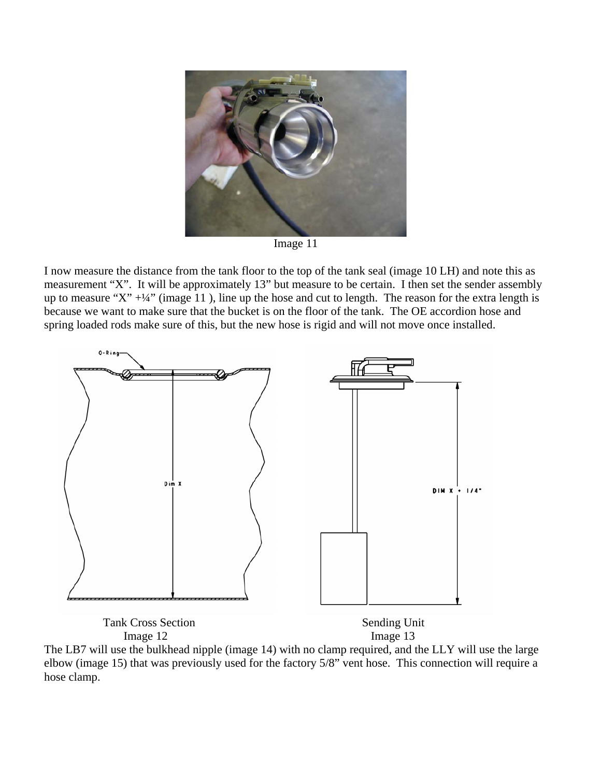

Image 11

I now measure the distance from the tank floor to the top of the tank seal (image 10 LH) and note this as measurement "X". It will be approximately 13" but measure to be certain. I then set the sender assembly up to measure "X"  $+1/4$ " (image 11), line up the hose and cut to length. The reason for the extra length is because we want to make sure that the bucket is on the floor of the tank. The OE accordion hose and spring loaded rods make sure of this, but the new hose is rigid and will not move once installed.



The LB7 will use the bulkhead nipple (image 14) with no clamp required, and the LLY will use the large elbow (image 15) that was previously used for the factory 5/8" vent hose. This connection will require a hose clamp.